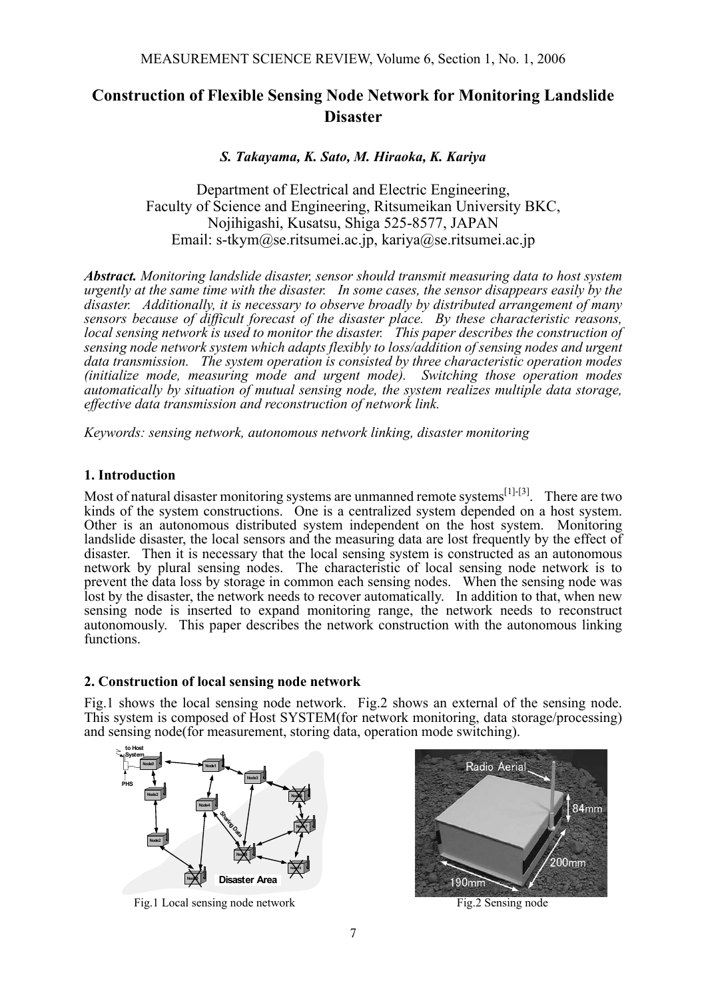# **Construction of Flexible Sensing Node Network for Monitoring Landslide Disaster**

*S. Takayama, K. Sato, M. Hiraoka, K. Kariya* 

Department of Electrical and Electric Engineering, Faculty of Science and Engineering, Ritsumeikan University BKC, Nojihigashi, Kusatsu, Shiga 525-8577, JAPAN Email: s-tkym@se.ritsumei.ac.jp, kariya@se.ritsumei.ac.jp

*Abstract. Monitoring landslide disaster, sensor should transmit measuring data to host system urgently at the same time with the disaster. In some cases, the sensor disappears easily by the disaster. Additionally, it is necessary to observe broadly by distributed arrangement of many sensors because of difficult forecast of the disaster place. By these characteristic reasons, local sensing network is used to monitor the disaster. This paper describes the construction of sensing node network system which adapts flexibly to loss/addition of sensing nodes and urgent data transmission. The system operation is consisted by three characteristic operation modes (initialize mode, measuring mode and urgent mode). Switching those operation modes automatically by situation of mutual sensing node, the system realizes multiple data storage, effective data transmission and reconstruction of network link.* 

*Keywords: sensing network, autonomous network linking, disaster monitoring* 

# **1. Introduction**

Most of natural disaster monitoring systems are unmanned remote systems<sup>[1]-[3]</sup>. There are two kinds of the system constructions. One is a centralized system depended on a host system. Other is an autonomous distributed system independent on the host system. Monitoring landslide disaster, the local sensors and the measuring data are lost frequently by the effect of disaster. Then it is necessary that the local sensing system is constructed as an autonomous network by plural sensing nodes. The characteristic of local sensing node network is to prevent the data loss by storage in common each sensing nodes. When the sensing node was lost by the disaster, the network needs to recover automatically. In addition to that, when new sensing node is inserted to expand monitoring range, the network needs to reconstruct autonomously. This paper describes the network construction with the autonomous linking functions.

# **2. Construction of local sensing node network**

Fig.1 shows the local sensing node network. Fig.2 shows an external of the sensing node. This system is composed of Host SYSTEM(for network monitoring, data storage/processing) and sensing node(for measurement, storing data, operation mode switching).



Fig.1 Local sensing node network Fig.2 Sensing node

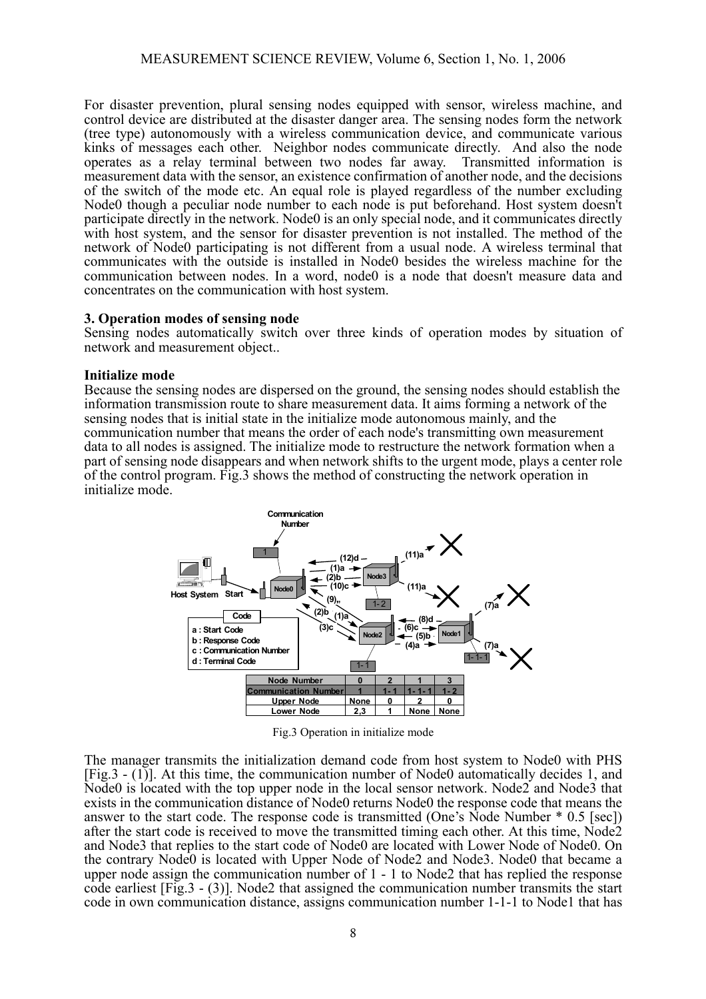For disaster prevention, plural sensing nodes equipped with sensor, wireless machine, and control device are distributed at the disaster danger area. The sensing nodes form the network (tree type) autonomously with a wireless communication device, and communicate various kinks of messages each other. Neighbor nodes communicate directly. And also the node operates as a relay terminal between two nodes far away. Transmitted information is operates as a relay terminal between two nodes far away. measurement data with the sensor, an existence confirmation of another node, and the decisions of the switch of the mode etc. An equal role is played regardless of the number excluding Node0 though a peculiar node number to each node is put beforehand. Host system doesn't participate directly in the network. Node0 is an only special node, and it communicates directly with host system, and the sensor for disaster prevention is not installed. The method of the network of Node0 participating is not different from a usual node. A wireless terminal that communicates with the outside is installed in Node0 besides the wireless machine for the communication between nodes. In a word, node0 is a node that doesn't measure data and concentrates on the communication with host system.

## **3. Operation modes of sensing node**

Sensing nodes automatically switch over three kinds of operation modes by situation of network and measurement object..

#### **Initialize mode**

Because the sensing nodes are dispersed on the ground, the sensing nodes should establish the information transmission route to share measurement data. It aims forming a network of the sensing nodes that is initial state in the initialize mode autonomous mainly, and the communication number that means the order of each node's transmitting own measurement data to all nodes is assigned. The initialize mode to restructure the network formation when a part of sensing node disappears and when network shifts to the urgent mode, plays a center role of the control program. Fig.3 shows the method of constructing the network operation in initialize mode.



Fig.3 Operation in initialize mode

The manager transmits the initialization demand code from host system to Node0 with PHS [Fig.3 - (1)]. At this time, the communication number of Node0 automatically decides 1, and Node0 is located with the top upper node in the local sensor network. Node2 and Node3 that exists in the communication distance of Node0 returns Node0 the response code that means the answer to the start code. The response code is transmitted (One's Node Number \* 0.5 [sec]) after the start code is received to move the transmitted timing each other. At this time, Node2 and Node3 that replies to the start code of Node0 are located with Lower Node of Node0. On the contrary Node0 is located with Upper Node of Node2 and Node3. Node0 that became a upper node assign the communication number of 1 - 1 to Node2 that has replied the response code earliest [Fig.3 - (3)]. Node2 that assigned the communication number transmits the start code in own communication distance, assigns communication number 1-1-1 to Node1 that has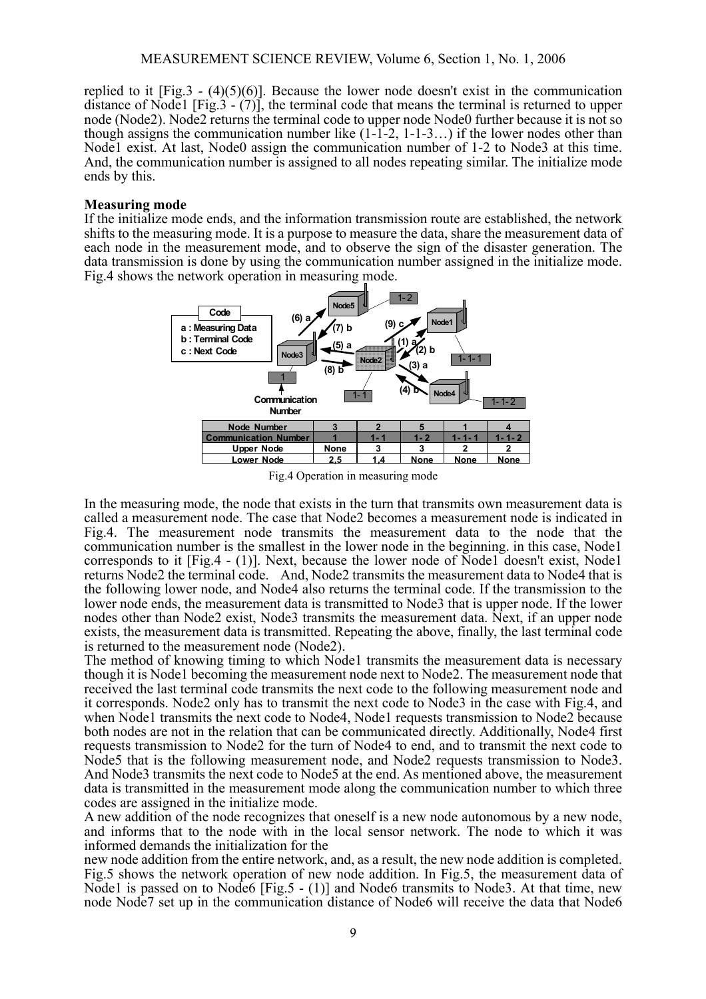replied to it  $[Fig.3 - (4)(5)(6)]$ . Because the lower node doesn't exist in the communication distance of Node1 [Fig.3 -  $(7)$ ], the terminal code that means the terminal is returned to upper node (Node2). Node2 returns the terminal code to upper node Node0 further because it is not so though assigns the communication number like  $(1\text{-}1\text{-}2, 1\text{-}1\text{-}3...)$  if the lower nodes other than Node1 exist. At last, Node0 assign the communication number of 1-2 to Node3 at this time. And, the communication number is assigned to all nodes repeating similar. The initialize mode ends by this.

#### **Measuring mode**

If the initialize mode ends, and the information transmission route are established, the network shifts to the measuring mode. It is a purpose to measure the data, share the measurement data of each node in the measurement mode, and to observe the sign of the disaster generation. The data transmission is done by using the communication number assigned in the initialize mode. Fig.4 shows the network operation in measuring mode.



Fig.4 Operation in measuring mode

In the measuring mode, the node that exists in the turn that transmits own measurement data is called a measurement node. The case that Node2 becomes a measurement node is indicated in Fig.4. The measurement node transmits the measurement data to the node that the communication number is the smallest in the lower node in the beginning. in this case, Node1 corresponds to it [Fig.4 - (1)]. Next, because the lower node of Node1 doesn't exist, Node1 returns Node2 the terminal code. And, Node2 transmits the measurement data to Node4 that is the following lower node, and Node4 also returns the terminal code. If the transmission to the lower node ends, the measurement data is transmitted to Node3 that is upper node. If the lower nodes other than Node2 exist, Node3 transmits the measurement data. Next, if an upper node exists, the measurement data is transmitted. Repeating the above, finally, the last terminal code is returned to the measurement node (Node2).

The method of knowing timing to which Node1 transmits the measurement data is necessary though it is Node1 becoming the measurement node next to Node2. The measurement node that received the last terminal code transmits the next code to the following measurement node and it corresponds. Node2 only has to transmit the next code to Node3 in the case with Fig.4, and when Node1 transmits the next code to Node4, Node1 requests transmission to Node2 because both nodes are not in the relation that can be communicated directly. Additionally, Node4 first requests transmission to Node2 for the turn of Node4 to end, and to transmit the next code to Node5 that is the following measurement node, and Node2 requests transmission to Node3. And Node3 transmits the next code to Node5 at the end. As mentioned above, the measurement data is transmitted in the measurement mode along the communication number to which three codes are assigned in the initialize mode.

A new addition of the node recognizes that oneself is a new node autonomous by a new node, and informs that to the node with in the local sensor network. The node to which it was informed demands the initialization for the

new node addition from the entire network, and, as a result, the new node addition is completed. Fig.5 shows the network operation of new node addition. In Fig.5, the measurement data of Node1 is passed on to Node6 [Fig.5 - (1)] and Node6 transmits to Node3. At that time, new node Node7 set up in the communication distance of Node6 will receive the data that Node6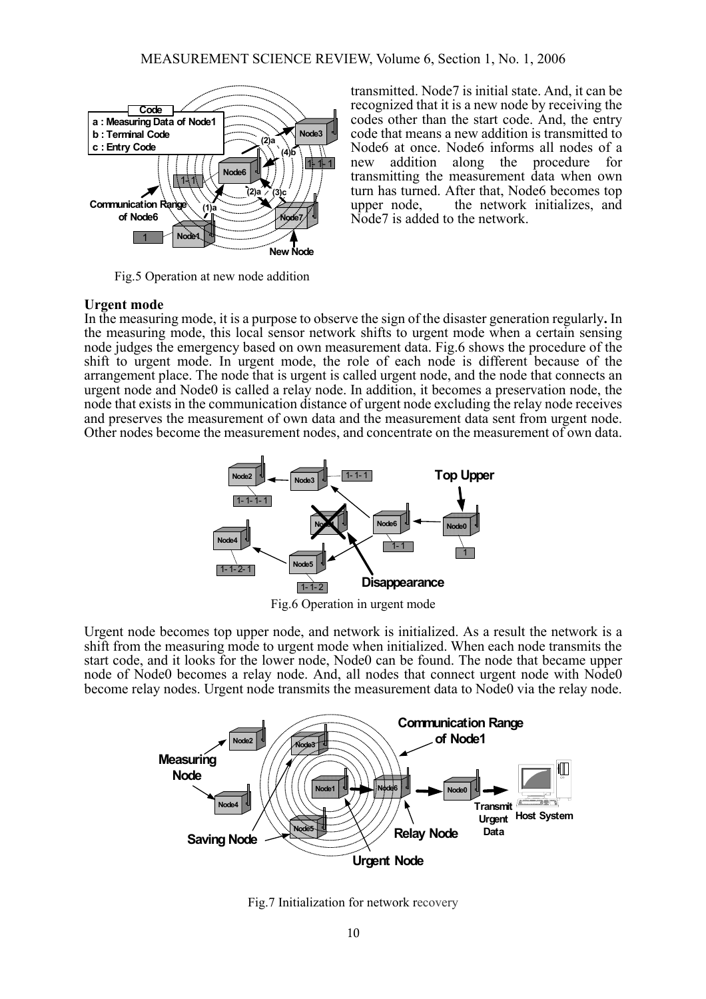

Fig.5 Operation at new node addition

transmitted. Node7 is initial state. And, it can be recognized that it is a new node by receiving the codes other than the start code. And, the entry code that means a new addition is transmitted to Node6 at once. Node6 informs all nodes of a new addition along the procedure for transmitting the measurement data when own turn has turned. After that, Node6 becomes top upper node, the network initializes, and Node<sub>7</sub> is added to the network.

## **Urgent mode**

In the measuring mode, it is a purpose to observe the sign of the disaster generation regularly**.** In the measuring mode, this local sensor network shifts to urgent mode when a certain sensing node judges the emergency based on own measurement data. Fig.6 shows the procedure of the shift to urgent mode. In urgent mode, the role of each node is different because of the arrangement place. The node that is urgent is called urgent node, and the node that connects an urgent node and Node0 is called a relay node. In addition, it becomes a preservation node, the node that exists in the communication distance of urgent node excluding the relay node receives and preserves the measurement of own data and the measurement data sent from urgent node. Other nodes become the measurement nodes, and concentrate on the measurement of own data.



Fig.6 Operation in urgent mode

Urgent node becomes top upper node, and network is initialized. As a result the network is a shift from the measuring mode to urgent mode when initialized. When each node transmits the start code, and it looks for the lower node, Node0 can be found. The node that became upper node of Node0 becomes a relay node. And, all nodes that connect urgent node with Node0 become relay nodes. Urgent node transmits the measurement data to Node0 via the relay node.



Fig.7 Initialization for network recovery